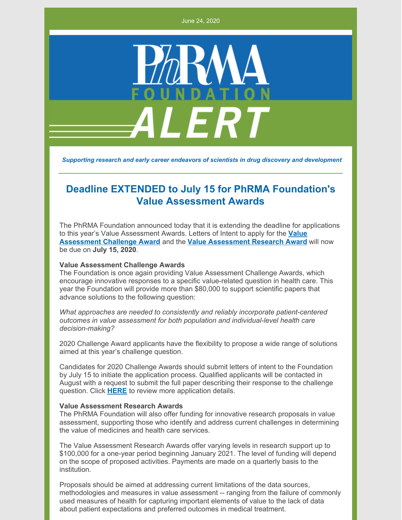June 24, 2020



*Supporting research and early career endeavors of scientists in drug discovery and development*

## **Deadline EXTENDED to July 15 for PhRMA Foundation's Value Assessment Awards**

The PhRMA Foundation announced today that it is extending the deadline for applications to this year's Value [Assessment](http://www.phrmafoundation.org/2018-awards/value-assessment-initiative/2020challengeawards/) Awards. Letters of Intent to apply for the **Value Assessment Challenge Award** and the **Value [Assessment](http://www.phrmafoundation.org/2018-awards/value-assessment-initiative/research-awards-1/) Research Award** will now be due on **July 15, 2020**.

## **Value Assessment Challenge Awards**

The Foundation is once again providing Value Assessment Challenge Awards, which encourage innovative responses to a specific value-related question in health care. This year the Foundation will provide more than \$80,000 to support scientific papers that advance solutions to the following question:

*What approaches are needed to consistently and reliably incorporate patient-centered outcomes in value assessment for both population and individual-level health care decision-making?*

2020 Challenge Award applicants have the flexibility to propose a wide range of solutions aimed at this year's challenge question.

Candidates for 2020 Challenge Awards should submit letters of intent to the Foundation by July 15 to initiate the application process. Qualified applicants will be contacted in August with a request to submit the full paper describing their response to the challenge question. Click **[HERE](http://www.phrmafoundation.org/wp-content/uploads/2020/06/VAI_2020ChallengeAwardBrochureFINAL62420.pdf)** to review more application details.

## **Value Assessment Research Awards**

The PhRMA Foundation will also offer funding for innovative research proposals in value assessment, supporting those who identify and address current challenges in determining the value of medicines and health care services.

The Value Assessment Research Awards offer varying levels in research support up to \$100,000 for a one-year period beginning January 2021. The level of funding will depend on the scope of proposed activities. Payments are made on a quarterly basis to the institution.

Proposals should be aimed at addressing current limitations of the data sources, methodologies and measures in value assessment -- ranging from the failure of commonly used measures of health for capturing important elements of value to the lack of data about patient expectations and preferred outcomes in medical treatment.